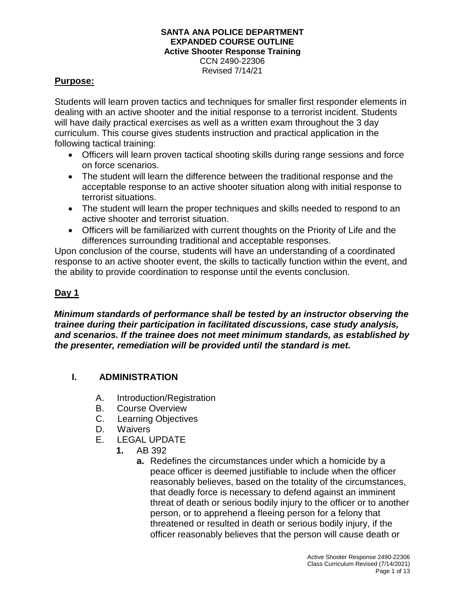CCN 2490-22306 Revised 7/14/21

### **Purpose:**

Students will learn proven tactics and techniques for smaller first responder elements in dealing with an active shooter and the initial response to a terrorist incident. Students will have daily practical exercises as well as a written exam throughout the 3 day curriculum. This course gives students instruction and practical application in the following tactical training:

- Officers will learn proven tactical shooting skills during range sessions and force on force scenarios.
- The student will learn the difference between the traditional response and the acceptable response to an active shooter situation along with initial response to terrorist situations.
- The student will learn the proper techniques and skills needed to respond to an active shooter and terrorist situation.
- Officers will be familiarized with current thoughts on the Priority of Life and the differences surrounding traditional and acceptable responses.

Upon conclusion of the course, students will have an understanding of a coordinated response to an active shooter event, the skills to tactically function within the event, and the ability to provide coordination to response until the events conclusion.

## **Day 1**

*Minimum standards of performance shall be tested by an instructor observing the trainee during their participation in facilitated discussions, case study analysis, and scenarios. If the trainee does not meet minimum standards, as established by the presenter, remediation will be provided until the standard is met.*

## **I. ADMINISTRATION**

- A. Introduction/Registration
- B. Course Overview
- C. Learning Objectives
- D. Waivers
- E. LEGAL UPDATE
	- **1.** AB 392
		- **a.** Redefines the circumstances under which a homicide by a peace officer is deemed justifiable to include when the officer reasonably believes, based on the totality of the circumstances, that deadly force is necessary to defend against an imminent threat of death or serious bodily injury to the officer or to another person, or to apprehend a fleeing person for a felony that threatened or resulted in death or serious bodily injury, if the officer reasonably believes that the person will cause death or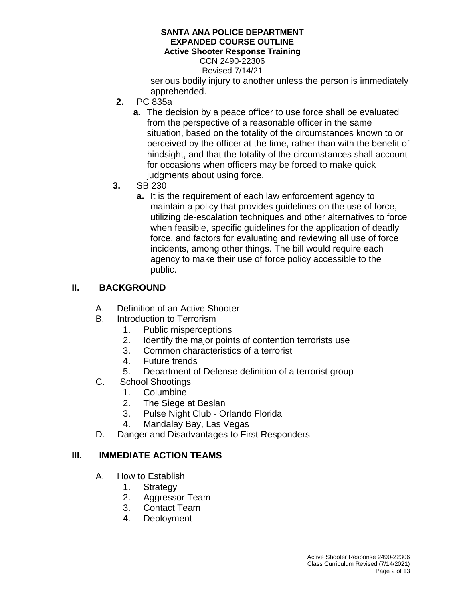CCN 2490-22306

Revised 7/14/21

serious bodily injury to another unless the person is immediately apprehended.

- **2.** PC 835a
	- **a.** The decision by a peace officer to use force shall be evaluated from the perspective of a reasonable officer in the same situation, based on the totality of the circumstances known to or perceived by the officer at the time, rather than with the benefit of hindsight, and that the totality of the circumstances shall account for occasions when officers may be forced to make quick judgments about using force.
- **3.** SB 230
	- **a.** It is the requirement of each law enforcement agency to maintain a policy that provides guidelines on the use of force, utilizing de-escalation techniques and other alternatives to force when feasible, specific guidelines for the application of deadly force, and factors for evaluating and reviewing all use of force incidents, among other things. The bill would require each agency to make their use of force policy accessible to the public.

## **II. BACKGROUND**

- A. Definition of an Active Shooter
- B. Introduction to Terrorism
	- 1. Public misperceptions
	- 2. Identify the major points of contention terrorists use
	- 3. Common characteristics of a terrorist
	- 4. Future trends
	- 5. Department of Defense definition of a terrorist group
- C. School Shootings
	- 1. Columbine
	- 2. The Siege at Beslan
	- 3. Pulse Night Club Orlando Florida
	- 4. Mandalay Bay, Las Vegas
- D. Danger and Disadvantages to First Responders

### **III. IMMEDIATE ACTION TEAMS**

- A. How to Establish
	- 1. Strategy
	- 2. Aggressor Team
	- 3. Contact Team
	- 4. Deployment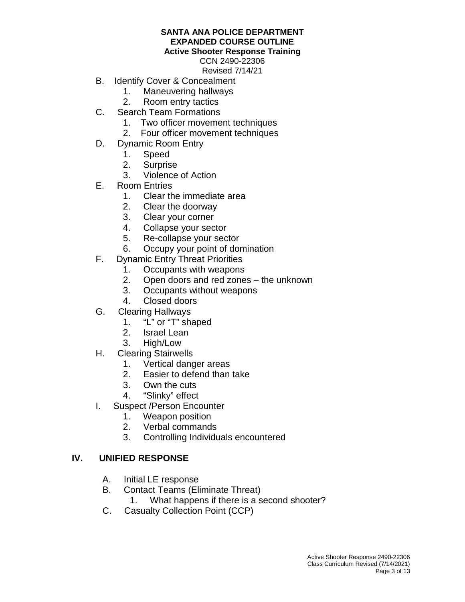CCN 2490-22306 Revised 7/14/21

- B. Identify Cover & Concealment
	- 1. Maneuvering hallways
	- 2. Room entry tactics
- C. Search Team Formations
	- 1. Two officer movement techniques
	- 2. Four officer movement techniques
- D. Dynamic Room Entry
	- 1. Speed<br>2. Surpris
	- **Surprise**
	- 3. Violence of Action
- E. Room Entries
	- 1. Clear the immediate area
	- 2. Clear the doorway
	- 3. Clear your corner
	- 4. Collapse your sector
	- 5. Re-collapse your sector
	- 6. Occupy your point of domination
- F. Dynamic Entry Threat Priorities
	- 1. Occupants with weapons
	- 2. Open doors and red zones the unknown
	- 3. Occupants without weapons
	- 4. Closed doors
- G. Clearing Hallways
	- 1. "L" or "T" shaped
	- 2. Israel Lean
	- 3. High/Low
- H. Clearing Stairwells
	- 1. Vertical danger areas
	- 2. Easier to defend than take
	- 3. Own the cuts
	- 4. "Slinky" effect
- I. Suspect /Person Encounter
	- 1. Weapon position
	- 2. Verbal commands
	- 3. Controlling Individuals encountered

### **IV. UNIFIED RESPONSE**

- A. Initial LE response
- B. Contact Teams (Eliminate Threat)
	- 1. What happens if there is a second shooter?
- C. Casualty Collection Point (CCP)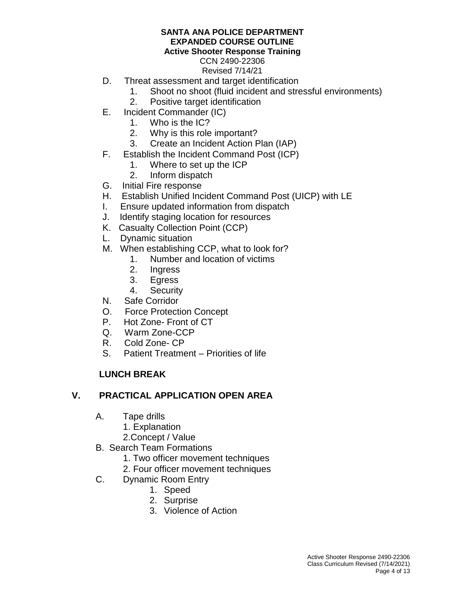## CCN 2490-22306

Revised 7/14/21

- D. Threat assessment and target identification
	- 1. Shoot no shoot (fluid incident and stressful environments)
	- 2. Positive target identification
- E. Incident Commander (IC)
	- 1. Who is the IC?
	- 2. Why is this role important?
	- 3. Create an Incident Action Plan (IAP)
- F. Establish the Incident Command Post (ICP)
	- 1. Where to set up the ICP
	- 2. Inform dispatch
- G. Initial Fire response
- H. Establish Unified Incident Command Post (UICP) with LE
- I. Ensure updated information from dispatch
- J. Identify staging location for resources
- K. Casualty Collection Point (CCP)
- L. Dynamic situation
- M. When establishing CCP, what to look for?
	- 1. Number and location of victims
	- 2. Ingress
	- 3. Egress
	- 4. Security
- N. Safe Corridor
- O. Force Protection Concept
- P. Hot Zone- Front of CT
- Q. Warm Zone-CCP
- R. Cold Zone- CP
- S. Patient Treatment Priorities of life

## **LUNCH BREAK**

## **V. PRACTICAL APPLICATION OPEN AREA**

- A. Tape drills
	- 1. Explanation
	- 2.Concept / Value
- B. Search Team Formations
	- 1. Two officer movement techniques
	- 2. Four officer movement techniques
- C. Dynamic Room Entry
	- 1. Speed
	- 2. Surprise
	- 3. Violence of Action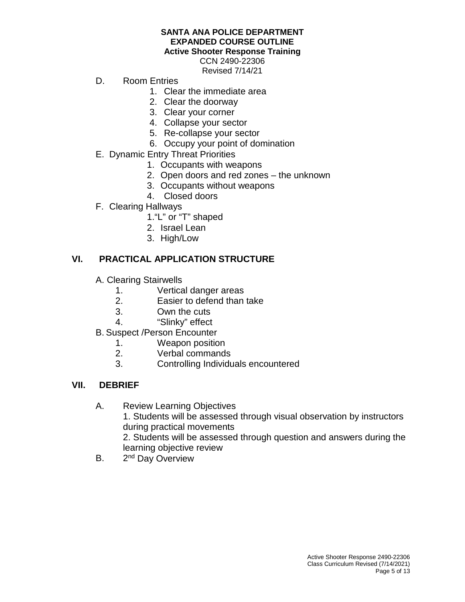# **SANTA ANA POLICE DEPARTMENT EXPANDED COURSE OUTLINE**

#### **Active Shooter Response Training**

CCN 2490-22306 Revised 7/14/21

- D. Room Entries
	- 1. Clear the immediate area
	- 2. Clear the doorway
	- 3. Clear your corner
	- 4. Collapse your sector
	- 5. Re-collapse your sector
	- 6. Occupy your point of domination
- E. Dynamic Entry Threat Priorities
	- 1. Occupants with weapons
	- 2. Open doors and red zones the unknown
	- 3. Occupants without weapons
	- 4. Closed doors
- F. Clearing Hallways
	- 1."L" or "T" shaped
	- 2. Israel Lean
	- 3. High/Low

## **VI. PRACTICAL APPLICATION STRUCTURE**

- A. Clearing Stairwells
	- 1. Vertical danger areas<br>2. Easier to defend than
	- Easier to defend than take
	- 3. Own the cuts
	- 4. "Slinky" effect
- B. Suspect /Person Encounter
	- 1. Weapon position
	- 2. Verbal commands
	- 3. Controlling Individuals encountered

## **VII. DEBRIEF**

### A. Review Learning Objectives

1. Students will be assessed through visual observation by instructors during practical movements

2. Students will be assessed through question and answers during the learning objective review

B. 2<sup>nd</sup> Day Overview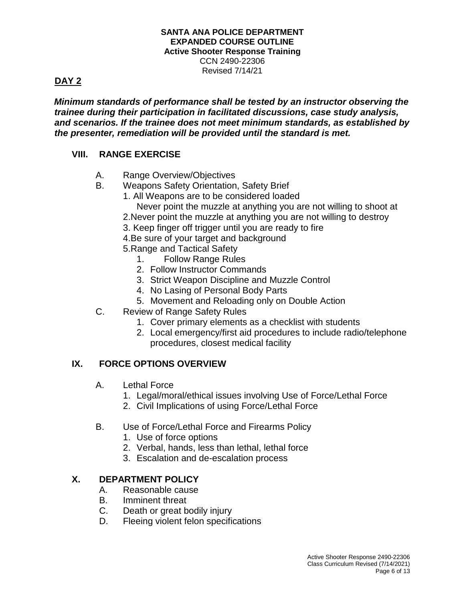CCN 2490-22306 Revised 7/14/21

# **DAY 2**

*Minimum standards of performance shall be tested by an instructor observing the trainee during their participation in facilitated discussions, case study analysis, and scenarios. If the trainee does not meet minimum standards, as established by the presenter, remediation will be provided until the standard is met.*

## **VIII. RANGE EXERCISE**

- A. Range Overview/Objectives
- B. Weapons Safety Orientation, Safety Brief
	- 1. All Weapons are to be considered loaded
		- Never point the muzzle at anything you are not willing to shoot at
	- 2.Never point the muzzle at anything you are not willing to destroy
	- 3. Keep finger off trigger until you are ready to fire
	- 4.Be sure of your target and background
	- 5.Range and Tactical Safety
		- 1. Follow Range Rules
		- 2. Follow Instructor Commands
		- 3. Strict Weapon Discipline and Muzzle Control
		- 4. No Lasing of Personal Body Parts
		- 5. Movement and Reloading only on Double Action
- C. Review of Range Safety Rules
	- 1. Cover primary elements as a checklist with students
	- 2. Local emergency/first aid procedures to include radio/telephone procedures, closest medical facility

## **IX. FORCE OPTIONS OVERVIEW**

- A. Lethal Force
	- 1. Legal/moral/ethical issues involving Use of Force/Lethal Force
	- 2. Civil Implications of using Force/Lethal Force
- B. Use of Force/Lethal Force and Firearms Policy
	- 1. Use of force options
	- 2. Verbal, hands, less than lethal, lethal force
	- 3. Escalation and de-escalation process

## **X. DEPARTMENT POLICY**

- A. Reasonable cause
- B. Imminent threat
- C. Death or great bodily injury
- D. Fleeing violent felon specifications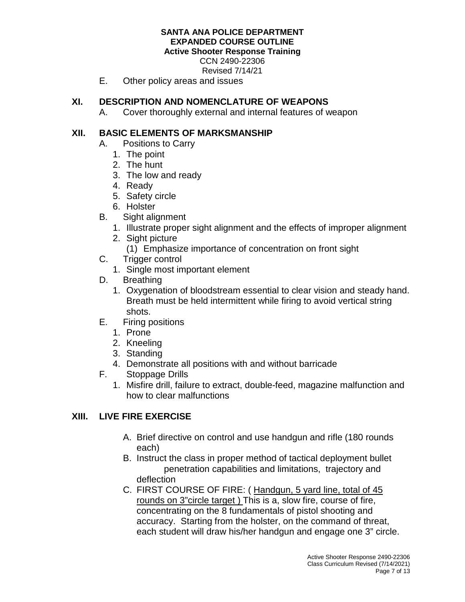CCN 2490-22306

Revised 7/14/21

E. Other policy areas and issues

## **XI. DESCRIPTION AND NOMENCLATURE OF WEAPONS**

A. Cover thoroughly external and internal features of weapon

## **XII. BASIC ELEMENTS OF MARKSMANSHIP**

- A. Positions to Carry
	- 1. The point
	- 2. The hunt
	- 3. The low and ready
	- 4. Ready
	- 5. Safety circle
	- 6. Holster
- B. Sight alignment
	- 1. Illustrate proper sight alignment and the effects of improper alignment
	- 2. Sight picture
		- (1) Emphasize importance of concentration on front sight
- C. Trigger control
	- 1. Single most important element
- D. Breathing
	- 1. Oxygenation of bloodstream essential to clear vision and steady hand. Breath must be held intermittent while firing to avoid vertical string shots.
- E. Firing positions
	- 1. Prone
	- 2. Kneeling
	- 3. Standing
	- 4. Demonstrate all positions with and without barricade
- F. Stoppage Drills
	- 1. Misfire drill, failure to extract, double-feed, magazine malfunction and how to clear malfunctions

## **XIII. LIVE FIRE EXERCISE**

- A. Brief directive on control and use handgun and rifle (180 rounds each)
- B. Instruct the class in proper method of tactical deployment bullet penetration capabilities and limitations, trajectory and deflection
- C. FIRST COURSE OF FIRE: ( Handgun, 5 yard line, total of 45 rounds on 3"circle target ) This is a, slow fire, course of fire, concentrating on the 8 fundamentals of pistol shooting and accuracy. Starting from the holster, on the command of threat, each student will draw his/her handgun and engage one 3" circle.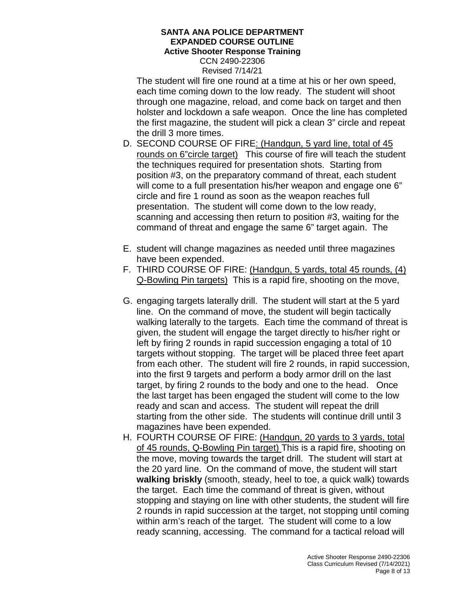CCN 2490-22306 Revised 7/14/21

The student will fire one round at a time at his or her own speed, each time coming down to the low ready. The student will shoot through one magazine, reload, and come back on target and then holster and lockdown a safe weapon. Once the line has completed the first magazine, the student will pick a clean 3" circle and repeat the drill 3 more times.

- D. SECOND COURSE OF FIRE: (Handgun, 5 yard line, total of 45 rounds on 6"circle target) This course of fire will teach the student the techniques required for presentation shots. Starting from position #3, on the preparatory command of threat, each student will come to a full presentation his/her weapon and engage one 6" circle and fire 1 round as soon as the weapon reaches full presentation. The student will come down to the low ready, scanning and accessing then return to position #3, waiting for the command of threat and engage the same 6" target again. The
- E. student will change magazines as needed until three magazines have been expended.
- F. THIRD COURSE OF FIRE: (Handgun, 5 yards, total 45 rounds, (4) Q-Bowling Pin targets) This is a rapid fire, shooting on the move,
- G. engaging targets laterally drill. The student will start at the 5 yard line. On the command of move, the student will begin tactically walking laterally to the targets. Each time the command of threat is given, the student will engage the target directly to his/her right or left by firing 2 rounds in rapid succession engaging a total of 10 targets without stopping. The target will be placed three feet apart from each other. The student will fire 2 rounds, in rapid succession, into the first 9 targets and perform a body armor drill on the last target, by firing 2 rounds to the body and one to the head. Once the last target has been engaged the student will come to the low ready and scan and access. The student will repeat the drill starting from the other side. The students will continue drill until 3 magazines have been expended.
- H. FOURTH COURSE OF FIRE: (Handgun, 20 yards to 3 yards, total of 45 rounds, Q-Bowling Pin target) This is a rapid fire, shooting on the move, moving towards the target drill. The student will start at the 20 yard line. On the command of move, the student will start **walking briskly** (smooth, steady, heel to toe, a quick walk) towards the target. Each time the command of threat is given, without stopping and staying on line with other students, the student will fire 2 rounds in rapid succession at the target, not stopping until coming within arm's reach of the target. The student will come to a low ready scanning, accessing. The command for a tactical reload will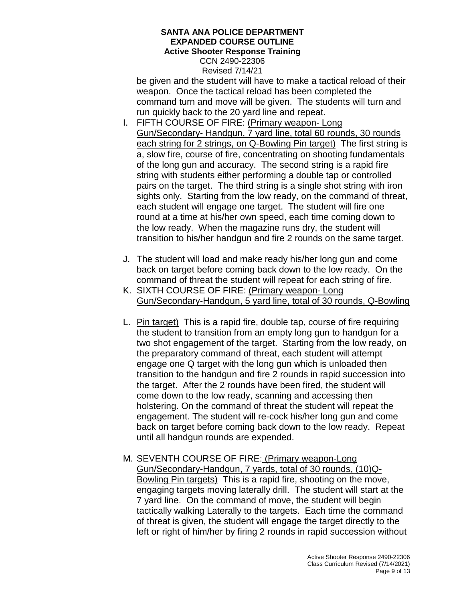CCN 2490-22306 Revised 7/14/21

be given and the student will have to make a tactical reload of their weapon. Once the tactical reload has been completed the command turn and move will be given. The students will turn and run quickly back to the 20 yard line and repeat.

- I. FIFTH COURSE OF FIRE: (Primary weapon- Long Gun/Secondary- Handgun, 7 yard line, total 60 rounds, 30 rounds each string for 2 strings, on Q-Bowling Pin target) The first string is a, slow fire, course of fire, concentrating on shooting fundamentals of the long gun and accuracy. The second string is a rapid fire string with students either performing a double tap or controlled pairs on the target. The third string is a single shot string with iron sights only. Starting from the low ready, on the command of threat, each student will engage one target. The student will fire one round at a time at his/her own speed, each time coming down to the low ready. When the magazine runs dry, the student will transition to his/her handgun and fire 2 rounds on the same target.
- J. The student will load and make ready his/her long gun and come back on target before coming back down to the low ready. On the command of threat the student will repeat for each string of fire.
- K. SIXTH COURSE OF FIRE: (Primary weapon- Long Gun/Secondary-Handgun, 5 yard line, total of 30 rounds, Q-Bowling
- L. Pin target) This is a rapid fire, double tap, course of fire requiring the student to transition from an empty long gun to handgun for a two shot engagement of the target. Starting from the low ready, on the preparatory command of threat, each student will attempt engage one Q target with the long gun which is unloaded then transition to the handgun and fire 2 rounds in rapid succession into the target. After the 2 rounds have been fired, the student will come down to the low ready, scanning and accessing then holstering. On the command of threat the student will repeat the engagement. The student will re-cock his/her long gun and come back on target before coming back down to the low ready. Repeat until all handgun rounds are expended.
- M. SEVENTH COURSE OF FIRE: (Primary weapon-Long Gun/Secondary-Handgun, 7 yards, total of 30 rounds, (10)Q-Bowling Pin targets) This is a rapid fire, shooting on the move, engaging targets moving laterally drill. The student will start at the 7 yard line. On the command of move, the student will begin tactically walking Laterally to the targets. Each time the command of threat is given, the student will engage the target directly to the left or right of him/her by firing 2 rounds in rapid succession without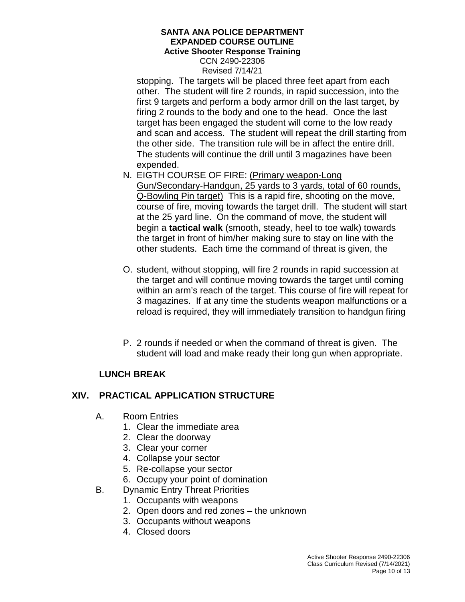CCN 2490-22306 Revised 7/14/21

stopping. The targets will be placed three feet apart from each other. The student will fire 2 rounds, in rapid succession, into the first 9 targets and perform a body armor drill on the last target, by firing 2 rounds to the body and one to the head. Once the last target has been engaged the student will come to the low ready and scan and access. The student will repeat the drill starting from the other side. The transition rule will be in affect the entire drill. The students will continue the drill until 3 magazines have been expended.

- N. EIGTH COURSE OF FIRE: (Primary weapon-Long Gun/Secondary-Handgun, 25 yards to 3 yards, total of 60 rounds, Q-Bowling Pin target) This is a rapid fire, shooting on the move, course of fire, moving towards the target drill. The student will start at the 25 yard line. On the command of move, the student will begin a **tactical walk** (smooth, steady, heel to toe walk) towards the target in front of him/her making sure to stay on line with the other students. Each time the command of threat is given, the
- O. student, without stopping, will fire 2 rounds in rapid succession at the target and will continue moving towards the target until coming within an arm's reach of the target. This course of fire will repeat for 3 magazines. If at any time the students weapon malfunctions or a reload is required, they will immediately transition to handgun firing
- P. 2 rounds if needed or when the command of threat is given. The student will load and make ready their long gun when appropriate.

## **LUNCH BREAK**

### **XIV. PRACTICAL APPLICATION STRUCTURE**

- A. Room Entries
	- 1. Clear the immediate area
	- 2. Clear the doorway
	- 3. Clear your corner
	- 4. Collapse your sector
	- 5. Re-collapse your sector
	- 6. Occupy your point of domination
- B. Dynamic Entry Threat Priorities
	- 1. Occupants with weapons
	- 2. Open doors and red zones the unknown
	- 3. Occupants without weapons
	- 4. Closed doors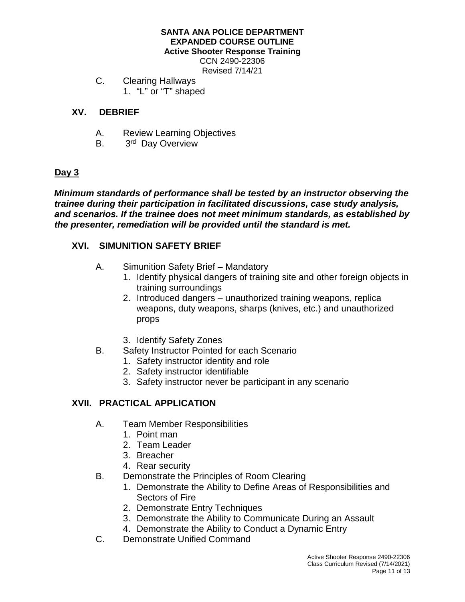CCN 2490-22306 Revised 7/14/21

C. Clearing Hallways 1. "L" or "T" shaped

## **XV. DEBRIEF**

- A. Review Learning Objectives
- B. 3<sup>rd</sup> Day Overview

## **Day 3**

*Minimum standards of performance shall be tested by an instructor observing the trainee during their participation in facilitated discussions, case study analysis, and scenarios. If the trainee does not meet minimum standards, as established by the presenter, remediation will be provided until the standard is met.*

### **XVI. SIMUNITION SAFETY BRIEF**

- A. Simunition Safety Brief Mandatory
	- 1. Identify physical dangers of training site and other foreign objects in training surroundings
	- 2. Introduced dangers unauthorized training weapons, replica weapons, duty weapons, sharps (knives, etc.) and unauthorized props
	- 3. Identify Safety Zones
- B. Safety Instructor Pointed for each Scenario
	- 1. Safety instructor identity and role
	- 2. Safety instructor identifiable
	- 3. Safety instructor never be participant in any scenario

## **XVII. PRACTICAL APPLICATION**

- A. Team Member Responsibilities
	- 1. Point man
	- 2. Team Leader
	- 3. Breacher
	- 4. Rear security
- B. Demonstrate the Principles of Room Clearing
	- 1. Demonstrate the Ability to Define Areas of Responsibilities and Sectors of Fire
	- 2. Demonstrate Entry Techniques
	- 3. Demonstrate the Ability to Communicate During an Assault
	- 4. Demonstrate the Ability to Conduct a Dynamic Entry
- C. Demonstrate Unified Command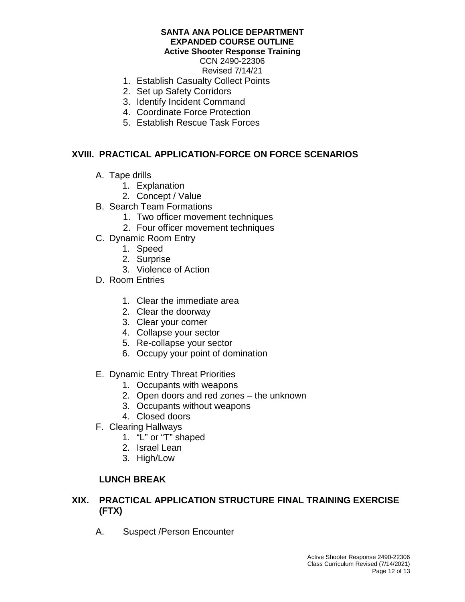CCN 2490-22306 Revised 7/14/21

- 1. Establish Casualty Collect Points
- 2. Set up Safety Corridors
- 3. Identify Incident Command
- 4. Coordinate Force Protection
- 5. Establish Rescue Task Forces

### **XVIII. PRACTICAL APPLICATION-FORCE ON FORCE SCENARIOS**

- A. Tape drills
	- 1. Explanation
	- 2. Concept / Value
- B. Search Team Formations
	- 1. Two officer movement techniques
	- 2. Four officer movement techniques
- C. Dynamic Room Entry
	- 1. Speed
	- 2. Surprise
	- 3. Violence of Action
- D. Room Entries
	- 1. Clear the immediate area
	- 2. Clear the doorway
	- 3. Clear your corner
	- 4. Collapse your sector
	- 5. Re-collapse your sector
	- 6. Occupy your point of domination
- E. Dynamic Entry Threat Priorities
	- 1. Occupants with weapons
	- 2. Open doors and red zones the unknown
	- 3. Occupants without weapons
	- 4. Closed doors
- F. Clearing Hallways
	- 1. "L" or "T" shaped
	- 2. Israel Lean
	- 3. High/Low

### **LUNCH BREAK**

### **XIX. PRACTICAL APPLICATION STRUCTURE FINAL TRAINING EXERCISE (FTX)**

A. Suspect /Person Encounter